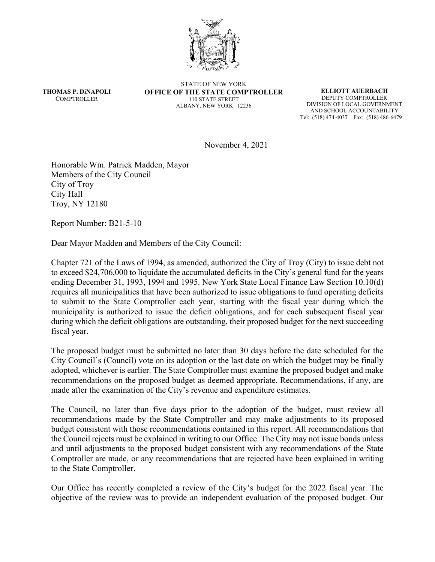

**THOMAS P. DiNAPOLI COMPTROLLER** 

STATE OF NEW YORK **OFFICE OF THE STATE COMPTROLLER** 110 STATE STREET ALBANY, NEW YORK 12236

**ELLIOTT AUERBACH** DEPUTY COMPTROLLER DIVISION OF LOCAL GOVERNMENT AND SCHOOL ACCOUNTABILITY Tel: (518) 474-4037 Fax: (518) 486-6479

November 4, 2021

Honorable Wm. Patrick Madden, Mayor Members of the City Council City of Troy City Hall Troy, NY 12180

Report Number: B21-5-10

Dear Mayor Madden and Members of the City Council:

Chapter 721 of the Laws of 1994, as amended, authorized the City of Troy (City) to issue debt not to exceed \$24,706,000 to liquidate the accumulated deficits in the City's general fund for the years ending December 31, 1993, 1994 and 1995. New York State Local Finance Law Section 10.10(d) requires all municipalities that have been authorized to issue obligations to fund operating deficits to submit to the State Comptroller each year, starting with the fiscal year during which the municipality is authorized to issue the deficit obligations, and for each subsequent fiscal year during which the deficit obligations are outstanding, their proposed budget for the next succeeding fiscal year.

The proposed budget must be submitted no later than 30 days before the date scheduled for the City Council's (Council) vote on its adoption or the last date on which the budget may be finally adopted, whichever is earlier. The State Comptroller must examine the proposed budget and make recommendations on the proposed budget as deemed appropriate. Recommendations, if any, are made after the examination of the City's revenue and expenditure estimates.

The Council, no later than five days prior to the adoption of the budget, must review all recommendations made by the State Comptroller and may make adjustments to its proposed budget consistent with those recommendations contained in this report. All recommendations that the Council rejects must be explained in writing to our Office. The City may not issue bonds unless and until adjustments to the proposed budget consistent with any recommendations of the State Comptroller are made, or any recommendations that are rejected have been explained in writing to the State Comptroller.

Our Office has recently completed a review of the City's budget for the 2022 fiscal year. The objective of the review was to provide an independent evaluation of the proposed budget. Our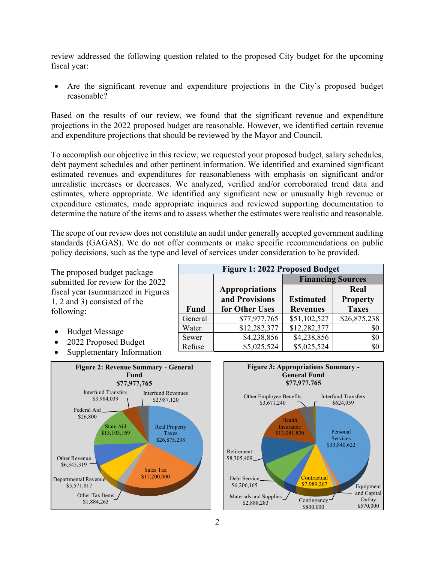review addressed the following question related to the proposed City budget for the upcoming fiscal year:

• Are the significant revenue and expenditure projections in the City's proposed budget reasonable?

Based on the results of our review, we found that the significant revenue and expenditure projections in the 2022 proposed budget are reasonable. However, we identified certain revenue and expenditure projections that should be reviewed by the Mayor and Council.

To accomplish our objective in this review, we requested your proposed budget, salary schedules, debt payment schedules and other pertinent information. We identified and examined significant estimated revenues and expenditures for reasonableness with emphasis on significant and/or unrealistic increases or decreases. We analyzed, verified and/or corroborated trend data and estimates, where appropriate. We identified any significant new or unusually high revenue or expenditure estimates, made appropriate inquiries and reviewed supporting documentation to determine the nature of the items and to assess whether the estimates were realistic and reasonable.

The scope of our review does not constitute an audit under generally accepted government auditing standards (GAGAS). We do not offer comments or make specific recommendations on public policy decisions, such as the type and level of services under consideration to be provided.

The proposed budget package submitted for review for the 2022 fiscal year (summarized in Figures 1, 2 and 3) consisted of the following:

- Budget Message
- 2022 Proposed Budget
- Supplementary Information





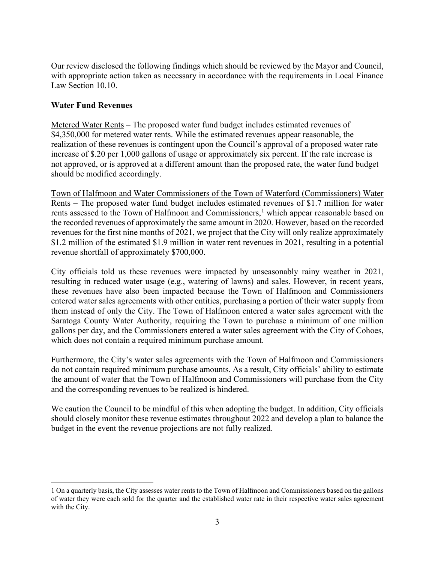Our review disclosed the following findings which should be reviewed by the Mayor and Council, with appropriate action taken as necessary in accordance with the requirements in Local Finance Law Section 10.10.

## **Water Fund Revenues**

Metered Water Rents – The proposed water fund budget includes estimated revenues of \$4,350,000 for metered water rents. While the estimated revenues appear reasonable, the realization of these revenues is contingent upon the Council's approval of a proposed water rate increase of \$.20 per 1,000 gallons of usage or approximately six percent. If the rate increase is not approved, or is approved at a different amount than the proposed rate, the water fund budget should be modified accordingly.

Town of Halfmoon and Water Commissioners of the Town of Waterford (Commissioners) Water Rents – The proposed water fund budget includes estimated revenues of \$1.7 million for water rents assessed to the Town of Halfmoon and Commissioners,<sup>[1](#page-2-0)</sup> which appear reasonable based on the recorded revenues of approximately the same amount in 2020. However, based on the recorded revenues for the first nine months of 2021, we project that the City will only realize approximately \$1.2 million of the estimated \$1.9 million in water rent revenues in 2021, resulting in a potential revenue shortfall of approximately \$700,000.

City officials told us these revenues were impacted by unseasonably rainy weather in 2021, resulting in reduced water usage (e.g., watering of lawns) and sales. However, in recent years, these revenues have also been impacted because the Town of Halfmoon and Commissioners entered water sales agreements with other entities, purchasing a portion of their water supply from them instead of only the City. The Town of Halfmoon entered a water sales agreement with the Saratoga County Water Authority, requiring the Town to purchase a minimum of one million gallons per day, and the Commissioners entered a water sales agreement with the City of Cohoes, which does not contain a required minimum purchase amount.

Furthermore, the City's water sales agreements with the Town of Halfmoon and Commissioners do not contain required minimum purchase amounts. As a result, City officials' ability to estimate the amount of water that the Town of Halfmoon and Commissioners will purchase from the City and the corresponding revenues to be realized is hindered.

We caution the Council to be mindful of this when adopting the budget. In addition, City officials should closely monitor these revenue estimates throughout 2022 and develop a plan to balance the budget in the event the revenue projections are not fully realized.

<span id="page-2-0"></span><sup>1</sup> On a quarterly basis, the City assesses water rents to the Town of Halfmoon and Commissioners based on the gallons of water they were each sold for the quarter and the established water rate in their respective water sales agreement with the City.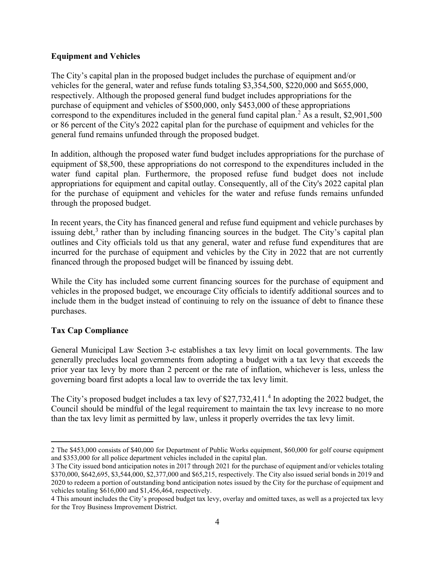## **Equipment and Vehicles**

The City's capital plan in the proposed budget includes the purchase of equipment and/or vehicles for the general, water and refuse funds totaling \$3,354,500, \$220,000 and \$655,000, respectively. Although the proposed general fund budget includes appropriations for the purchase of equipment and vehicles of \$500,000, only \$453,000 of these appropriations correspond to the expenditures included in the general fund capital plan.<sup>[2](#page-3-0)</sup> As a result, \$2,901,500 or 86 percent of the City's 2022 capital plan for the purchase of equipment and vehicles for the general fund remains unfunded through the proposed budget.

In addition, although the proposed water fund budget includes appropriations for the purchase of equipment of \$8,500, these appropriations do not correspond to the expenditures included in the water fund capital plan. Furthermore, the proposed refuse fund budget does not include appropriations for equipment and capital outlay. Consequently, all of the City's 2022 capital plan for the purchase of equipment and vehicles for the water and refuse funds remains unfunded through the proposed budget.

In recent years, the City has financed general and refuse fund equipment and vehicle purchases by issuing debt,<sup>[3](#page-3-1)</sup> rather than by including financing sources in the budget. The City's capital plan outlines and City officials told us that any general, water and refuse fund expenditures that are incurred for the purchase of equipment and vehicles by the City in 2022 that are not currently financed through the proposed budget will be financed by issuing debt.

While the City has included some current financing sources for the purchase of equipment and vehicles in the proposed budget, we encourage City officials to identify additional sources and to include them in the budget instead of continuing to rely on the issuance of debt to finance these purchases.

## **Tax Cap Compliance**

General Municipal Law Section 3-c establishes a tax levy limit on local governments. The law generally precludes local governments from adopting a budget with a tax levy that exceeds the prior year tax levy by more than 2 percent or the rate of inflation, whichever is less, unless the governing board first adopts a local law to override the tax levy limit.

The City's proposed budget includes a tax levy of \$27,732,[4](#page-3-2)11.<sup>4</sup> In adopting the 2022 budget, the Council should be mindful of the legal requirement to maintain the tax levy increase to no more than the tax levy limit as permitted by law, unless it properly overrides the tax levy limit.

<span id="page-3-0"></span><sup>2</sup> The \$453,000 consists of \$40,000 for Department of Public Works equipment, \$60,000 for golf course equipment and \$353,000 for all police department vehicles included in the capital plan.

<span id="page-3-1"></span><sup>3</sup> The City issued bond anticipation notes in 2017 through 2021 for the purchase of equipment and/or vehicles totaling \$370,000, \$642,695, \$3,544,000, \$2,377,000 and \$65,215, respectively. The City also issued serial bonds in 2019 and 2020 to redeem a portion of outstanding bond anticipation notes issued by the City for the purchase of equipment and vehicles totaling \$616,000 and \$1,456,464, respectively.

<span id="page-3-2"></span><sup>4</sup> This amount includes the City's proposed budget tax levy, overlay and omitted taxes, as well as a projected tax levy for the Troy Business Improvement District.